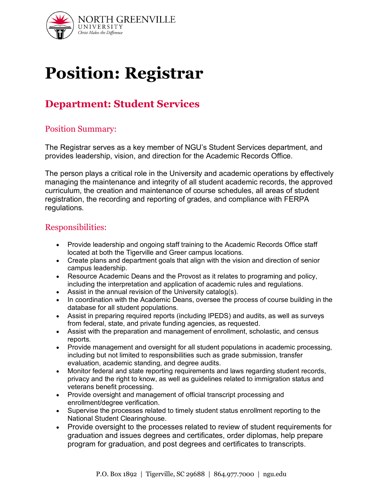

# **Position: Registrar**

# **Department: Student Services**

#### Position Summary:

The Registrar serves as a key member of NGU's Student Services department, and provides leadership, vision, and direction for the Academic Records Office.

The person plays a critical role in the University and academic operations by effectively managing the maintenance and integrity of all student academic records, the approved curriculum, the creation and maintenance of course schedules, all areas of student registration, the recording and reporting of grades, and compliance with FERPA regulations.

#### Responsibilities:

- Provide leadership and ongoing staff training to the Academic Records Office staff located at both the Tigerville and Greer campus locations.
- Create plans and department goals that align with the vision and direction of senior campus leadership.
- Resource Academic Deans and the Provost as it relates to programing and policy, including the interpretation and application of academic rules and regulations.
- Assist in the annual revision of the University catalog(s).
- In coordination with the Academic Deans, oversee the process of course building in the database for all student populations.
- Assist in preparing required reports (including IPEDS) and audits, as well as surveys from federal, state, and private funding agencies, as requested.
- Assist with the preparation and management of enrollment, scholastic, and census reports.
- Provide management and oversight for all student populations in academic processing, including but not limited to responsibilities such as grade submission, transfer evaluation, academic standing, and degree audits.
- Monitor federal and state reporting requirements and laws regarding student records, privacy and the right to know, as well as guidelines related to immigration status and veterans benefit processing.
- Provide oversight and management of official transcript processing and enrollment/degree verification.
- Supervise the processes related to timely student status enrollment reporting to the National Student Clearinghouse.
- Provide oversight to the processes related to review of student requirements for graduation and issues degrees and certificates, order diplomas, help prepare program for graduation, and post degrees and certificates to transcripts.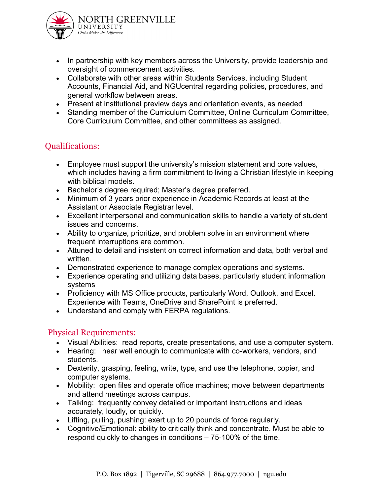

- In partnership with key members across the University, provide leadership and oversight of commencement activities.
- Collaborate with other areas within Students Services, including Student Accounts, Financial Aid, and NGUcentral regarding policies, procedures, and general workflow between areas.
- Present at institutional preview days and orientation events, as needed
- Standing member of the Curriculum Committee, Online Curriculum Committee, Core Curriculum Committee, and other committees as assigned.

## Qualifications:

- Employee must support the university's mission statement and core values, which includes having a firm commitment to living a Christian lifestyle in keeping with biblical models.
- Bachelor's degree required; Master's degree preferred.
- Minimum of 3 years prior experience in Academic Records at least at the Assistant or Associate Registrar level.
- Excellent interpersonal and communication skills to handle a variety of student issues and concerns.
- Ability to organize, prioritize, and problem solve in an environment where frequent interruptions are common.
- Attuned to detail and insistent on correct information and data, both verbal and written.
- Demonstrated experience to manage complex operations and systems.
- Experience operating and utilizing data bases, particularly student information systems
- Proficiency with MS Office products, particularly Word, Outlook, and Excel. Experience with Teams, OneDrive and SharePoint is preferred.
- Understand and comply with FERPA regulations.

### Physical Requirements:

- Visual Abilities: read reports, create presentations, and use a computer system.
- Hearing: hear well enough to communicate with co-workers, vendors, and students.
- Dexterity, grasping, feeling, write, type, and use the telephone, copier, and computer systems.
- Mobility: open files and operate office machines; move between departments and attend meetings across campus.
- Talking: frequently convey detailed or important instructions and ideas accurately, loudly, or quickly.
- Lifting, pulling, pushing: exert up to 20 pounds of force regularly.
- Cognitive/Emotional: ability to critically think and concentrate. Must be able to respond quickly to changes in conditions – 75‐100% of the time.